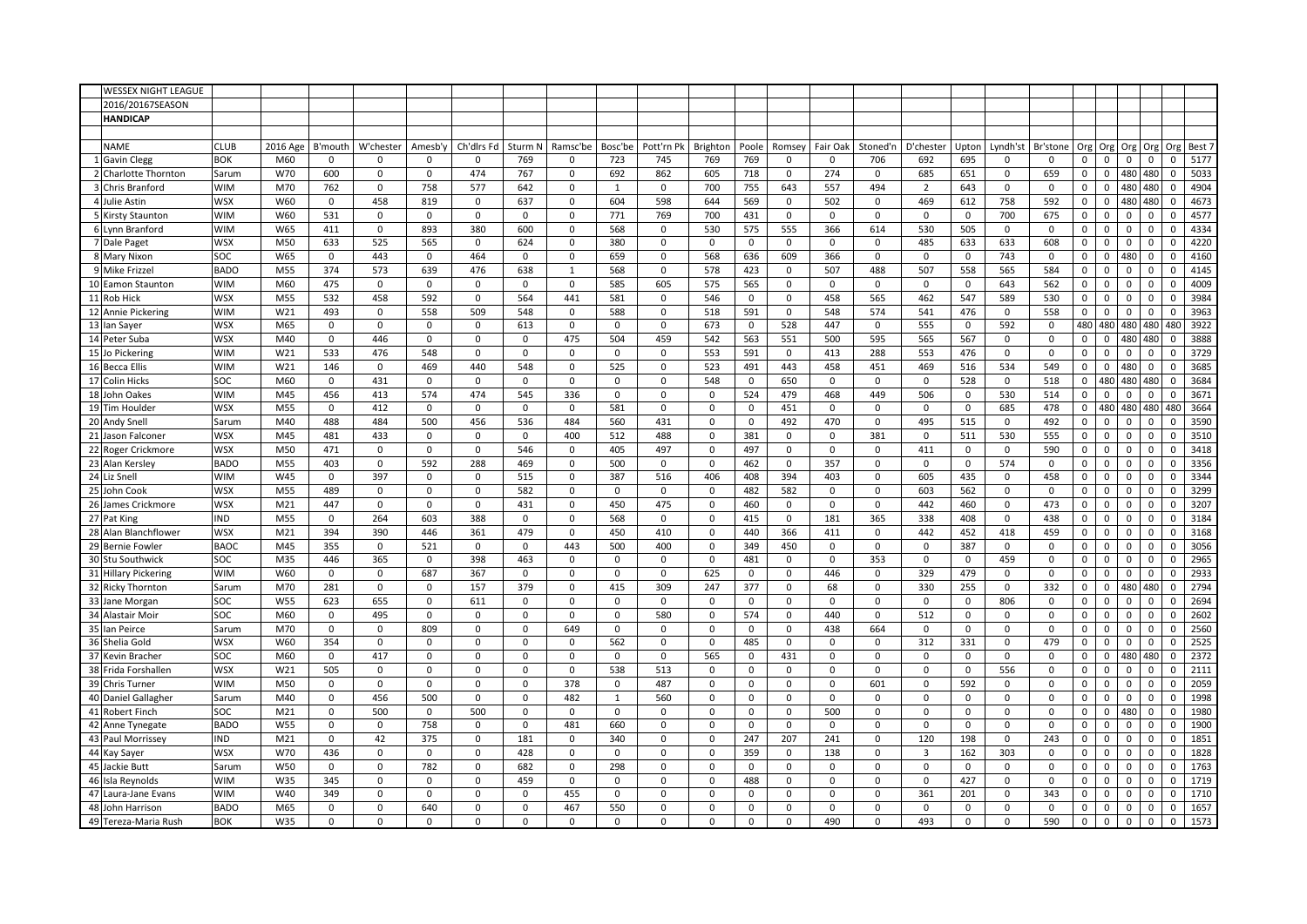| <b>WESSEX NIGHT LEAGUE</b> |             |                 |             |             |             |             |             |              |             |             |             |              |             |              |             |                |              |              |             |             |                               |             |             |        |
|----------------------------|-------------|-----------------|-------------|-------------|-------------|-------------|-------------|--------------|-------------|-------------|-------------|--------------|-------------|--------------|-------------|----------------|--------------|--------------|-------------|-------------|-------------------------------|-------------|-------------|--------|
| 2016/20167SEASON           |             |                 |             |             |             |             |             |              |             |             |             |              |             |              |             |                |              |              |             |             |                               |             |             |        |
| <b>HANDICAP</b>            |             |                 |             |             |             |             |             |              |             |             |             |              |             |              |             |                |              |              |             |             |                               |             |             |        |
|                            |             |                 |             |             |             |             |             |              |             |             |             |              |             |              |             |                |              |              |             |             |                               |             |             |        |
| <b>NAME</b>                | <b>CLUB</b> | 2016 Age        | B'mouth     | W'chester   | Amesb'y     | Ch'dirs Fd  | Sturm N     | Ramsc'be     | Bosc'be     | Pott'rn Pk  | Brighton    | Poole        | Romsey      | Fair Oak     | Stoned'n    | D'chester      | Upton        | Lyndh'st     | Br'stone    | Org         | Org<br>Org                    | Org         | Org         | Best 7 |
| 1 Gavin Clegg              | <b>BOK</b>  | M60             | $\Omega$    | $\Omega$    | $\Omega$    | $\mathbf 0$ | 769         | $\Omega$     | 723         | 745         | 769         | 769          | $\Omega$    | $\Omega$     | 706         | 692            | 695          | $\Omega$     | $\Omega$    | 0           | $\mathsf 0$<br>$\mathbf 0$    | $\mathbf 0$ | $\mathbf 0$ | 5177   |
| 2 Charlotte Thornton       | Sarum       | W70             | 600         | $\mathbf 0$ | $\mathbf 0$ | 474         | 767         | $\mathbf 0$  | 692         | 862         | 605         | 718          | $\mathbf 0$ | 274          | $\mathbf 0$ | 685            | 651          | $\mathbf 0$  | 659         | $\mathbf 0$ | $\mathbf{0}$<br>480           | 480         | $\Omega$    | 5033   |
| 3 Chris Branford           | <b>WIM</b>  | M70             | 762         | $\mathbf 0$ | 758         | 577         | 642         | $\mathbf 0$  | 1           | $\mathbf 0$ | 700         | 755          | 643         | 557          | 494         | $\overline{2}$ | 643          | $\mathsf 0$  | $\mathbf 0$ | $\mathbf 0$ | $\mathsf 0$<br>480            | 480         | $\Omega$    | 4904   |
| 4 Julie Astin              | <b>WSX</b>  | W60             | $\mathsf 0$ | 458         | 819         | $\mathbf 0$ | 637         | $\mathbf 0$  | 604         | 598         | 644         | 569          | $\mathsf 0$ | 502          | $\mathbf 0$ | 469            | 612          | 758          | 592         | 0           | $\mathbf 0$<br>480            | 480         | $\mathsf 0$ | 4673   |
| 5 Kirsty Staunton          | <b>WIM</b>  | W60             | 531         | $\Omega$    | $\mathbf 0$ | $\mathbf 0$ | $\Omega$    | $\mathbf 0$  | 771         | 769         | 700         | 431          | $\mathbf 0$ | $^{\circ}$   | $\mathbf 0$ | $\Omega$       | $\mathbf 0$  | 700          | 675         | $\mathbf 0$ | $\mathbf 0$<br>$\Omega$       | $\Omega$    | $\Omega$    | 4577   |
| 6 Lynn Branford            | <b>WIM</b>  | W65             | 411         | $\mathbf 0$ | 893         | 380         | 600         | $\mathbf 0$  | 568         | $\mathbf 0$ | 530         | 575          | 555         | 366          | 614         | 530            | 505          | $\mathbf 0$  | $\mathbf 0$ | $\mathbf 0$ | $\Omega$<br>$\mathbf 0$       | $\Omega$    | $\Omega$    | 4334   |
| 7 Dale Paget               | <b>WSX</b>  | M50             | 633         | 525         | 565         | $\mathbf 0$ | 624         | 0            | 380         | 0           | $\mathbf 0$ | $\mathsf 0$  | $\mathbf 0$ | $\mathbf 0$  | 0           | 485            | 633          | 633          | 608         | 0           | $\mathsf 0$<br>$\mathbf 0$    | $\mathbf 0$ | $\mathbf 0$ | 4220   |
| 8 Mary Nixon               | SOC         | W65             | $\mathbf 0$ | 443         | $\mathbf 0$ | 464         | $\mathbf 0$ | $\mathbf 0$  | 659         | $\mathbf 0$ | 568         | 636          | 609         | 366          | $\mathbf 0$ | $\mathbf 0$    | $\mathbf 0$  | 743          | $\mathbf 0$ | $\mathbf 0$ | $\mathbf 0$<br>480            | $\mathbf 0$ | $\mathbf 0$ | 4160   |
| 9 Mike Frizzel             | <b>BADO</b> | M55             | 374         | 573         | 639         | 476         | 638         | $\mathbf{1}$ | 568         | $\mathbf 0$ | 578         | 423          | $\mathbf 0$ | 507          | 488         | 507            | 558          | 565          | 584         | $\mathbf 0$ | $\mathsf 0$<br>$\mathbf 0$    | $\mathbf 0$ | $\Omega$    | 4145   |
| 10 Eamon Staunton          | <b>WIM</b>  | M60             | 475         | $\mathbf 0$ | $\mathbf 0$ | $\mathsf 0$ | $\mathbf 0$ | $\mathbf 0$  | 585         | 605         | 575         | 565          | $\mathbf 0$ | $\mathbf 0$  | $\mathsf 0$ | $\Omega$       | $\mathbf 0$  | 643          | 562         | $\mathbf 0$ | $\mathbf 0$<br>$\mathbf 0$    | $\mathbf 0$ | $\Omega$    | 4009   |
| 11 Rob Hick                | <b>WSX</b>  | M55             | 532         | 458         | 592         | $\mathsf 0$ | 564         | 441          | 581         | $\mathbf 0$ | 546         | $\mathsf 0$  | $\mathbf 0$ | 458          | 565         | 462            | 547          | 589          | 530         | 0           | $\mathsf 0$<br>$\mathbf 0$    | $\mathbf 0$ | $\Omega$    | 3984   |
| 12 Annie Pickering         | <b>WIM</b>  | W21             | 493         | $\mathbf 0$ | 558         | 509         | 548         | $\mathbf 0$  | 588         | $\mathbf 0$ | 518         | 591          | $\mathsf 0$ | 548          | 574         | 541            | 476          | $\mathbf 0$  | 558         | 0           | $\mathbf 0$<br>$\mathbf 0$    | $\mathbf 0$ | $\mathbf 0$ | 3963   |
| 13 Ian Sayer               | <b>WSX</b>  | M65             | $\mathsf 0$ | $\mathbf 0$ | $\mathbf 0$ | $\mathbf 0$ | 613         | 0            | $\mathbf 0$ | 0           | 673         | $\mathbf 0$  | 528         | 447          | $\mathbf 0$ | 555            | $\mathsf 0$  | 592          | $\mathbf 0$ | 480         | 480<br>480                    | 480         | 480         | 3922   |
| 14 Peter Suba              | <b>WSX</b>  | M40             | $\Omega$    | 446         | 0           | $\mathbf 0$ | $\Omega$    | 475          | 504         | 459         | 542         | 563          | 551         | 500          | 595         | 565            | 567          | $\mathbf 0$  | $\Omega$    | 0           | 480<br>$\Omega$               | 480         | $\Omega$    | 3888   |
| 15 Jo Pickering            | <b>WIM</b>  | W21             | 533         | 476         | 548         | $\mathsf 0$ | $\mathbf 0$ | $\mathbf 0$  | $\mathbf 0$ | $\mathbf 0$ | 553         | 591          | $\mathsf 0$ | 413          | 288         | 553            | 476          | $\mathsf 0$  | $\mathbf 0$ | 0           | $\mathsf 0$<br>$\mathbf 0$    | $\mathbf 0$ | $\mathbf 0$ | 3729   |
| 16 Becca Ellis             | <b>WIM</b>  | W21             | 146         | $\mathsf 0$ | 469         | 440         | 548         | 0            | 525         | 0           | 523         | 491          | 443         | 458          | 451         | 469            | 516          | 534          | 549         | 0           | 480<br>$\mathbf 0$            | $\mathbf 0$ | $\mathbf 0$ | 3685   |
| 17 Colin Hicks             | SOC         | M60             | 0           | 431         | $\Omega$    | $\mathbf 0$ | $\Omega$    | 0            | $\Omega$    | 0           | 548         | $\mathbf 0$  | 650         | $\Omega$     | $\mathbf 0$ | $\Omega$       | 528          | $\mathsf 0$  | 518         | 0           | 480<br>480                    | 480         | $\Omega$    | 3684   |
| 18 John Oakes              | <b>WIM</b>  | M45             | 456         | 413         | 574         | 474         | 545         | 336          | $\mathbf 0$ | $\mathbf 0$ | $\mathbf 0$ | 524          | 479         | 468          | 449         | 506            | $\mathbf 0$  | 530          | 514         | $\mathbf 0$ | $\mathbf 0$<br>$\mathbf 0$    | $\Omega$    | $\Omega$    | 3671   |
| 19 Tim Houlder             | <b>WSX</b>  | M55             | $\mathsf 0$ | 412         | 0           | $\mathsf 0$ | $\mathbf 0$ | $\mathsf 0$  | 581         | 0           | $\mathbf 0$ | $\mathsf 0$  | 451         | $\mathbf 0$  | $\mathsf 0$ | $\mathbf 0$    | $\mathsf 0$  | 685          | 478         | 0           | 480<br>480                    | 480         | 480         | 3664   |
| 20 Andy Snell              | Sarum       | M40             | 488         | 484         | 500         | 456         | 536         | 484          | 560         | 431         | 0           | 0            | 492         | 470          | $\mathbf 0$ | 495            | 515          | $\mathbf 0$  | 492         | 0           | $\mathsf 0$<br>$\mathsf{o}\,$ | $\mathsf 0$ | 0           | 3590   |
| 21 Jason Falconer          | <b>WSX</b>  | M45             | 481         | 433         | $\mathbf 0$ | $\mathbf 0$ | $\mathbf 0$ | 400          | 512         | 488         | $\Omega$    | 381          | $\mathbf 0$ | $\mathbf 0$  | 381         | $\Omega$       | 511          | 530          | 555         | $\mathbf 0$ | $\mathbf 0$<br>$\mathbf 0$    | $\Omega$    | $\Omega$    | 3510   |
| 22 Roger Crickmore         | <b>WSX</b>  | M50             | 471         | $\mathbf 0$ | 0           | $\mathsf 0$ | 546         | $\mathbf 0$  | 405         | 497         | $\mathbf 0$ | 497          | $\Omega$    | $\mathbf 0$  | $\mathbf 0$ | 411            | 0            | $\mathbf 0$  | 590         | 0           | $\mathbf 0$<br>$\mathbf 0$    | $\Omega$    | $\Omega$    | 3418   |
| 23 Alan Kersley            | <b>BADO</b> | M55             | 403         | $\mathsf 0$ | 592         | 288         | 469         | 0            | 500         | $\mathbf 0$ | $\Omega$    | 462          | $\mathsf 0$ | 357          | $\mathbf 0$ | $\Omega$       | $\mathsf 0$  | 574          | $\mathsf 0$ | 0           | $\mathsf 0$<br>$\mathsf{o}\,$ | $\mathsf 0$ | $\Omega$    | 3356   |
| 24 Liz Snell               | <b>WIM</b>  | W45             | $\mathsf 0$ | 397         | 0           | $\mathbf 0$ | 515         | $\mathbf 0$  | 387         | 516         | 406         | 408          | 394         | 403          | 0           | 605            | 435          | $\mathbf 0$  | 458         | 0           | $\mathsf 0$<br>$\mathbf 0$    | $\mathbf 0$ | $\mathbf 0$ | 3344   |
| 25 John Cook               | <b>WSX</b>  | M55             | 489         | $\mathbf 0$ | $\mathbf 0$ | $\mathbf 0$ | 582         | $\mathbf 0$  | $\mathbf 0$ | 0           | $\mathbf 0$ | 482          | 582         | $\mathbf 0$  | $\mathbf 0$ | 603            | 562          | $\mathbf{0}$ | $\mathbf 0$ | 0           | $\mathbf 0$<br>$\mathbf 0$    | $\mathbf 0$ | $\Omega$    | 3299   |
| 26 James Crickmore         | <b>WSX</b>  | M <sub>21</sub> | 447         | $\Omega$    | $\Omega$    | $\mathsf 0$ | 431         | 0            | 450         | 475         | $\Omega$    | 460          | $\Omega$    | 0            | $\mathbf 0$ | 442            | 460          | 0            | 473         | 0           | $\mathsf 0$<br>$\mathsf 0$    | 0           | $\Omega$    | 3207   |
| 27 Pat King                | <b>IND</b>  | M55             | $\mathbf 0$ | 264         | 603         | 388         | 0           | $\mathbf 0$  | 568         | 0           | $\mathbf 0$ | 415          | $\mathbf 0$ | 181          | 365         | 338            | 408          | $\mathbf 0$  | 438         | $\mathbf 0$ | $\mathsf 0$<br>$\mathbf 0$    | $\mathbf 0$ | $\Omega$    | 3184   |
| 28 Alan Blanchflower       | <b>WSX</b>  | M21             | 394         | 390         | 446         | 361         | 479         | 0            | 450         | 410         | $\mathbf 0$ | 440          | 366         | 411          | 0           | 442            | 452          | 418          | 459         | 0           | $\mathbf 0$<br>$\mathbf 0$    | $\mathbf 0$ | $\mathbf 0$ | 3168   |
| 29 Bernie Fowler           | <b>BAOC</b> | M45             | 355         | $\Omega$    | 521         | $\mathbf 0$ | $\mathbf 0$ | 443          | 500         | 400         | $\Omega$    | 349          | 450         | 0            | $\mathbf 0$ | $\Omega$       | 387          | $\mathbf 0$  | $\Omega$    | 0           | $\mathsf 0$<br>$\mathsf 0$    | $\mathbf 0$ | $\Omega$    | 3056   |
| 30 Stu Southwick           | SOC         | M35             | 446         | 365         | $\mathbf 0$ | 398         | 463         | $\mathbf 0$  | $\Omega$    | $\Omega$    | $\mathbf 0$ | 481          | $\Omega$    | $\mathbf 0$  | 353         | $\Omega$       | $\mathbf 0$  | 459          | $\mathbf 0$ | $\mathbf 0$ | $\Omega$<br>$\mathbf 0$       | $\Omega$    | $\Omega$    | 2965   |
| 31 Hillary Pickering       | <b>WIM</b>  | W60             | $\mathsf 0$ | $\mathbf 0$ | 687         | 367         | $\mathbf 0$ | 0            | $\mathbf 0$ | 0           | 625         | $\mathbf 0$  | $\mathsf 0$ | 446          | 0           | 329            | 479          | $\mathbf 0$  | $\mathsf 0$ | 0           | $\mathbf 0$<br>$\mathbf 0$    | $\mathbf 0$ | $\mathbf 0$ | 2933   |
| 32 Ricky Thornton          | Sarum       | M70             | 281         | 0           | 0           | 157         | 379         | 0            | 415         | 309         | 247         | 377          | 0           | 68           | $\mathbf 0$ | 330            | 255          | $\mathbf 0$  | 332         | 0           | $\mathsf 0$<br>480            | 480         | $\Omega$    | 2794   |
| 33 Jane Morgan             | SOC         | <b>W55</b>      | 623         | 655         | $\mathbf 0$ | 611         | $\mathbf 0$ | $\mathbf 0$  | $\mathbf 0$ | 0           | $\mathbf 0$ | $\mathbf 0$  | 0           | $\mathbf 0$  | $\mathbf 0$ | $\mathbf 0$    | $\mathsf 0$  | 806          | $\mathbf 0$ | $\mathbf 0$ | $\mathsf 0$<br>$\mathbf 0$    | $\mathbf 0$ | $\Omega$    | 2694   |
| 34 Alastair Moir           | SOC         | M60             | $\mathbf 0$ | 495         | 0           | $\mathsf 0$ | $\Omega$    | $\mathsf 0$  | $\Omega$    | 580         | $\Omega$    | 574          | $\Omega$    | 440          | $\mathsf 0$ | 512            | $\mathbf 0$  | $\Omega$     | $\mathbf 0$ | $\Omega$    | $\mathbf 0$<br>$\mathbf 0$    | $\mathbf 0$ | $\Omega$    | 2602   |
| 35 Ian Peirce              | Sarum       | M70             | 0           | 0           | 809         | $\mathbf 0$ | 0           | 649          | $\mathbf 0$ | 0           | $\Omega$    | $\mathbf 0$  | 0           | 438          | 664         | $\mathbf 0$    | 0            | $\mathbf 0$  | $\mathsf 0$ | 0           | 0<br>0                        | 0           | $\Omega$    | 2560   |
| 36 Shelia Gold             | <b>WSX</b>  | W60             | 354         | $\mathbf 0$ | $\mathbf 0$ | $\mathbf 0$ | $\mathbf 0$ | $\mathbf 0$  | 562         | $\mathbf 0$ | $\mathbf 0$ | 485          | $\mathbf 0$ | $\mathbf 0$  | $\mathbf 0$ | 312            | 331          | $\mathbf 0$  | 479         | 0           | $\mathsf 0$<br>$\mathbf 0$    | $\mathbf 0$ | $\mathbf 0$ | 2525   |
| 37 Kevin Bracher           | SOC         | M60             | $\mathsf 0$ | 417         | 0           | $\mathbf 0$ | $\mathbf 0$ | $\mathsf 0$  | $\mathbf 0$ | 0           | 565         | $\mathbf 0$  | 431         | $\mathbf 0$  | $\mathbf 0$ | $\Omega$       | $\mathsf 0$  | $\mathbf 0$  | $\mathbf 0$ | $\mathbf 0$ | $\mathbf{0}$<br>480           | 480         | $\mathbf 0$ | 2372   |
| 38 Frida Forshallen        | <b>WSX</b>  | W21             | 505         | $\Omega$    | 0           | $\mathsf 0$ | $\Omega$    | 0            | 538         | 513         | $\Omega$    | $\mathbf 0$  | $\Omega$    | $\Omega$     | $\mathbf 0$ | $\Omega$       | 0            | 556          | 0           | 0           | $\Omega$<br>$\Omega$          | $\Omega$    | $\Omega$    | 2111   |
| 39 Chris Turner            | <b>WIM</b>  | M50             | $\Omega$    | $\mathbf 0$ | $\mathbf 0$ | $\mathsf 0$ | $\mathbf 0$ | 378          | $\mathbf 0$ | 487         | $\mathbf 0$ | $\mathsf 0$  | $\mathbf 0$ | $\mathbf 0$  | 601         | $\Omega$       | 592          | $\mathbf 0$  | $\mathbf 0$ | $\mathbf 0$ | $\mathbf 0$<br>$\mathbf 0$    | $\mathbf 0$ | $\mathbf 0$ | 2059   |
| 40 Daniel Gallagher        | Sarum       | M40             | $\mathsf 0$ | 456         | 500         | $\mathsf 0$ | $\mathbf 0$ | 482          | 1           | 560         | $\mathbf 0$ | $\mathsf 0$  | $\mathbf 0$ | $\mathbf 0$  | $\mathbf 0$ | $\Omega$       | $\mathbf{0}$ | $\mathbf 0$  | $\mathbf 0$ | 0           | $\mathsf 0$<br>$\mathbf 0$    | $\mathbf 0$ | $\mathbf 0$ | 1998   |
| 41 Robert Finch            | SOC         | M21             | 0           | 500         | 0           | 500         | $\Omega$    | 0            | $\mathbf 0$ | 0           | 0           | 0            | 0           | 500          | $\mathbf 0$ | $\Omega$       | 0            | $\mathbf 0$  | 0           | $\mathbf 0$ | 480<br>0                      | $\mathsf 0$ | $\Omega$    | 1980   |
| 42 Anne Tynegate           | <b>BADO</b> | <b>W55</b>      | $\Omega$    | $\Omega$    | 758         | $\mathbf 0$ | $\Omega$    | 481          | 660         | $\mathbf 0$ | $\Omega$    | $\mathbf 0$  | $\Omega$    | $\mathbf 0$  | $\mathbf 0$ | $\Omega$       | $\mathbf 0$  | 0            | $\mathbf 0$ | 0           | $\mathbf 0$<br>$\mathbf 0$    | $\Omega$    | $\Omega$    | 1900   |
| 43 Paul Morrissey          | <b>IND</b>  | M21             | $\mathsf 0$ | 42          | 375         | $\mathbf 0$ | 181         | $\mathsf 0$  | 340         | 0           | $\mathbf 0$ | 247          | 207         | 241          | $\mathsf 0$ | 120            | 198          | $\mathsf 0$  | 243         | 0           | $\mathsf 0$<br>$\mathsf 0$    | $\mathbf 0$ | $\Omega$    | 1851   |
| 44 Kay Sayer               | <b>WSX</b>  | W70             | 436         | 0           | 0           | $\mathsf 0$ | 428         | 0            | $\mathbf 0$ | 0           | 0           | 359          | $\mathbf 0$ | 138          | 0           | 3              | 162          | 303          | $\mathsf 0$ | 0           | $\mathsf 0$<br>$\mathsf 0$    | $\mathsf 0$ | 0           | 1828   |
| 45 Jackie Butt             | Sarum       | <b>W50</b>      | $\mathbf 0$ | $\Omega$    | 782         | $\mathbf 0$ | 682         | $\mathbf 0$  | 298         | 0           | $\mathbf 0$ | $\mathbf{0}$ | 0           | $\mathsf{O}$ | $\mathbf 0$ | $\Omega$       | $\mathsf 0$  | $\mathbf{0}$ | $\mathbf 0$ | $\mathbf 0$ | $\mathbf 0$<br>$\mathbf 0$    | $\mathbf 0$ | $\Omega$    | 1763   |
| 46 Isla Reynolds           | <b>WIM</b>  | W35             | 345         | $\Omega$    | $\Omega$    | $\mathbf 0$ | 459         | $\mathbf 0$  | $\Omega$    | $\Omega$    | $\Omega$    | 488          | $\mathbf 0$ | $\Omega$     | $\Omega$    | $\Omega$       | 427          | 0            | $\mathbf 0$ | 0           | $\mathsf 0$<br>$\mathbf 0$    | $\Omega$    | $\Omega$    | 1719   |
| 47 Laura-Jane Evans        | <b>WIM</b>  | W40             | 349         | $\mathbf 0$ | 0           | $\mathsf 0$ | $\mathbf 0$ | 455          | $\mathsf 0$ | 0           | $\mathbf 0$ | $\mathsf 0$  | $\mathbf 0$ | $\mathsf 0$  | $\mathsf 0$ | 361            | 201          | $\mathsf 0$  | 343         | 0           | $\mathsf 0$<br>$\mathsf 0$    | $\mathbf 0$ | $\mathbf 0$ | 1710   |
| 48 John Harrison           | <b>BADO</b> | M65             | $\mathbf 0$ | $\Omega$    | 640         | $\mathsf 0$ | $\mathbf 0$ | 467          | 550         | $\mathbf 0$ | $\Omega$    | $\mathsf 0$  | $\Omega$    | $\mathbf 0$  | $\mathbf 0$ | $\Omega$       | $\mathbf 0$  | $\mathbf 0$  | $\mathbf 0$ | 0           | $\mathsf 0$<br>$\mathbf 0$    | $\mathbf 0$ | $\mathbf 0$ | 1657   |
| 49 Tereza-Maria Rush       | <b>BOK</b>  | W35             | $\mathbf 0$ | $\Omega$    | $\mathbf 0$ | $\mathbf 0$ | $\Omega$    | $\mathbf 0$  | $\mathbf 0$ | $\mathbf 0$ | $\Omega$    | $\mathbf 0$  | $\mathbf 0$ | 490          | $\mathbf 0$ | 493            | $\mathbf 0$  | $\mathbf 0$  | 590         | $\mathsf 0$ | $\mathbf 0$<br>$\mathbf 0$    | $\mathbf 0$ | $\mathbf 0$ | 1573   |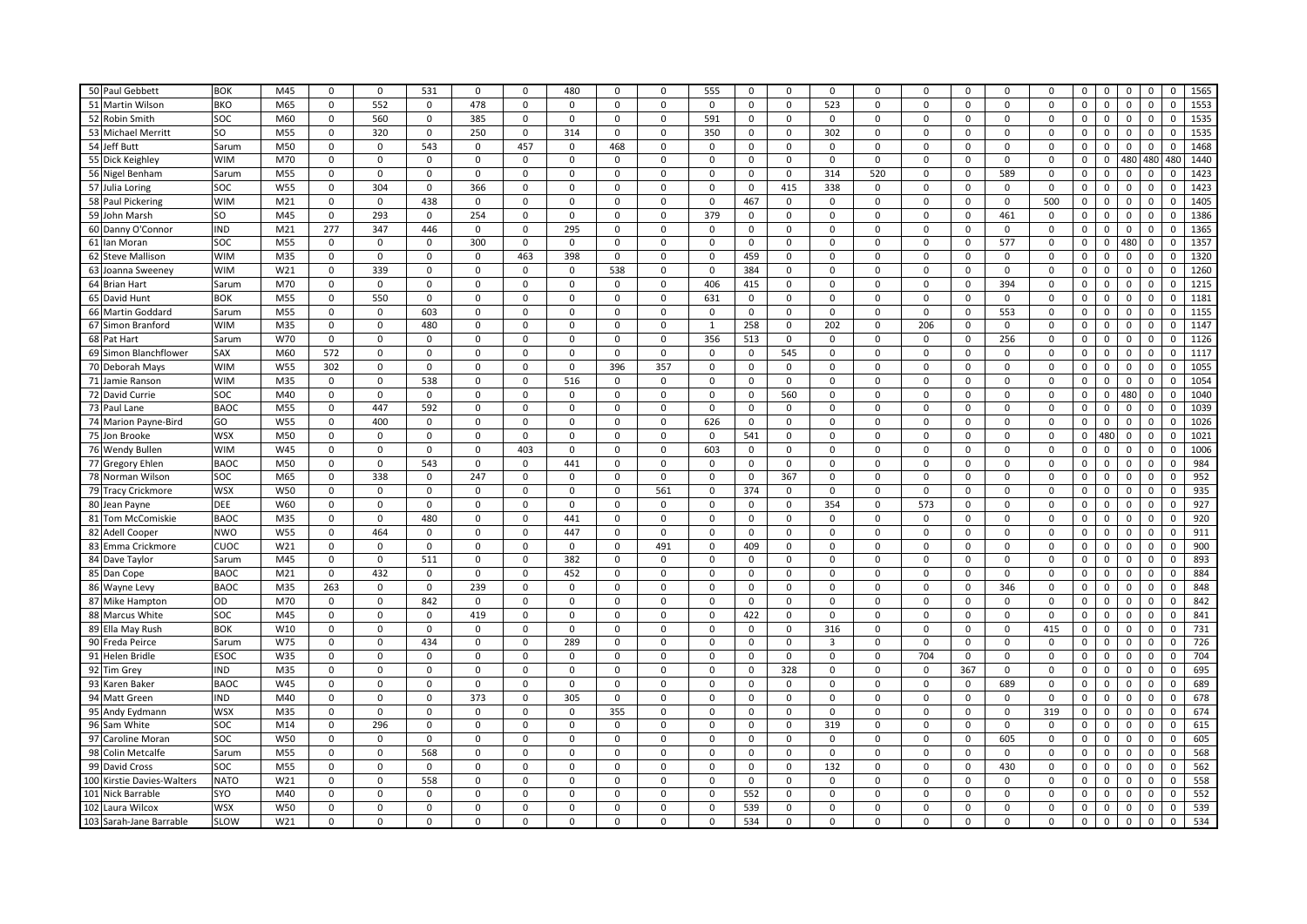| 50 Paul Gebbett            | <b>BOK</b>      | M45             | $\mathbf 0$ | $\mathbf 0$ | 531         | $\mathbf 0$ | $\mathbf 0$ | 480         | $\mathbf 0$ | $\mathbf 0$ | 555         | $\mathbf{0}$ | $\mathbf 0$ | $\mathbf 0$ | $\mathbf 0$ | $\mathbf 0$ | $\mathbf 0$  | $\mathbf 0$ | $\mathbf 0$ | $\mathbf{0}$<br>$\mathbf{0}$<br>$\mathbf 0$ | $\mathbf 0$    | $\mathbf 0$ | 1565 |
|----------------------------|-----------------|-----------------|-------------|-------------|-------------|-------------|-------------|-------------|-------------|-------------|-------------|--------------|-------------|-------------|-------------|-------------|--------------|-------------|-------------|---------------------------------------------|----------------|-------------|------|
| 51 Martin Wilson           | <b>BKO</b>      | M65             | 0           | 552         | 0           | 478         | $\Omega$    | $\mathbf 0$ | 0           | $\Omega$    | $\Omega$    | $\mathbf 0$  | $\mathbf 0$ | 523         | $\mathbf 0$ | $\mathbf 0$ | $\mathbf 0$  | $\Omega$    | 0           | $\mathbf 0$<br>$\mathbf 0$<br>$\mathbf 0$   | $\mathbf 0$    | $\mathbf 0$ | 1553 |
| 52 Robin Smith             | SOC             | M60             | 0           | 560         | $\mathbf 0$ | 385         | 0           | $\mathsf 0$ | $\mathbf 0$ | $\mathsf 0$ | 591         | $\mathsf 0$  | 0           | 0           | $\mathbf 0$ | 0           | $\mathsf 0$  | 0           | 0           | $\mathsf 0$<br>$\mathsf 0$<br>$\mathsf 0$   | 0              | $\mathbf 0$ | 1535 |
|                            | SO <sub>2</sub> |                 |             |             |             |             |             |             |             |             |             |              |             |             |             |             |              |             |             |                                             |                |             |      |
| 53 Michael Merritt         |                 | M55             | $\mathbf 0$ | 320         | $\mathsf 0$ | 250         | $\mathbf 0$ | 314         | $\mathbf 0$ | $\Omega$    | 350         | $\mathbf 0$  | $\mathbf 0$ | 302         | $\Omega$    | $\Omega$    | $\Omega$     | $\mathbf 0$ | $\mathbf 0$ | $\mathbf 0$<br>$\mathsf 0$<br>$\mathbf 0$   | $\mathbf 0$    | $\mathbf 0$ | 1535 |
| 54 Jeff Butt               | Sarum           | M50             | 0           | $\mathsf 0$ | 543         | $\mathsf 0$ | 457         | $\mathbf 0$ | 468         | $\mathsf 0$ | $\mathbf 0$ | $\mathbf 0$  | $\mathsf 0$ | $\mathbf 0$ | $\mathbf 0$ | $\mathsf 0$ | $\mathbf 0$  | $\mathbf 0$ | 0           | $\mathbf 0$<br>$\mathbf 0$<br>$\mathbf 0$   | $\mathbf 0$    | $\mathbf 0$ | 1468 |
| 55 Dick Keighley           | <b>WIM</b>      | M70             | 0           | $\mathbf 0$ | $\Omega$    | $\mathbf 0$ | $\mathbf 0$ | $\mathbf 0$ | 0           | $\mathbf 0$ | $\Omega$    | $\mathbf 0$  | $\mathbf 0$ | $\mathbf 0$ | $\mathbf 0$ | $\mathbf 0$ | $\mathbf 0$  | $\mathbf 0$ | 0           | 480<br>0<br>0                               | 480            | 480         | 1440 |
| 56 Nigel Benham            | Sarum           | M55             | $\mathbf 0$ | $\mathbf 0$ | 0           | $\mathbf 0$ | $\mathbf 0$ | $\mathbf 0$ | $\mathbf 0$ | $\mathbf 0$ | $\Omega$    | $\mathbf 0$  | $\mathbf 0$ | 314         | 520         | $\mathbf 0$ | $\mathbf 0$  | 589         | $\mathbf 0$ | $\mathbf 0$<br>$\mathbf 0$<br>$\mathbf 0$   | $\mathbf 0$    | $\Omega$    | 1423 |
| 57 Julia Loring            | SOC             | W55             | 0           | 304         | $\mathbf 0$ | 366         | $\mathbf 0$ | $\mathsf 0$ | $\mathbf 0$ | $\mathsf 0$ | $\Omega$    | $\mathsf 0$  | 415         | 338         | $\mathbf 0$ | $\mathbf 0$ | $\mathbf{0}$ | $\mathsf 0$ | $\mathbf 0$ | 0<br>$\mathsf 0$<br>$\mathsf 0$             | $\mathbf 0$    | $\mathbf 0$ | 1423 |
| 58 Paul Pickering          | <b>WIM</b>      | M <sub>21</sub> | 0           | $\mathbf 0$ | 438         | $\mathbf 0$ | 0           | $\mathsf 0$ | $\mathbf 0$ | $\mathsf 0$ | $\mathbf 0$ | 467          | $\mathsf 0$ | $\mathbf 0$ | $\mathbf 0$ | $\mathsf 0$ | $\mathsf 0$  | $\mathbf 0$ | 500         | $\mathsf 0$<br>$\mathsf{o}$<br>$\mathbf 0$  | $\mathsf 0$    | $\mathbf 0$ | 1405 |
| 59 John Marsh              | SO <sub>2</sub> | M45             | $\mathbf 0$ | 293         | 0           | 254         | $\Omega$    | $\Omega$    | $\Omega$    | $\Omega$    | 379         | $\mathbf 0$  | $\mathbf 0$ | $\Omega$    | $\mathbf 0$ | $\Omega$    | $\Omega$     | 461         | $\Omega$    | $\mathbf 0$<br>$\mathbf 0$<br>$\mathbf 0$   | $\Omega$       | $\Omega$    | 1386 |
| 60 Danny O'Connor          | <b>IND</b>      | M21             | 277         | 347         | 446         | $\mathbf 0$ | $\mathbf 0$ | 295         | $\mathbf 0$ | $\mathbf 0$ | $\Omega$    | $\mathsf 0$  | $\mathbf 0$ | $\mathbf 0$ | $\mathbf 0$ | $\mathbf 0$ | $\mathbf{0}$ | $\mathbf 0$ | $\Omega$    | $\Omega$<br>$\mathbf 0$<br>$\mathbf 0$      | $\mathbf 0$    | $\Omega$    | 1365 |
| 61 lan Moran               | SOC             | M55             | 0           | $\mathbf 0$ | $\mathbf 0$ | 300         | $\mathbf 0$ | $\mathbf 0$ | $\mathbf 0$ | 0           | $\Omega$    | $\mathsf 0$  | $\mathsf 0$ | $\mathbf 0$ | $\mathbf 0$ | $\mathbf 0$ | $\mathbf 0$  | 577         | $\mathbf 0$ | 0<br>$\mathsf 0$<br>480                     | $\mathbf 0$    | 0           | 1357 |
| 62 Steve Mallison          | <b>WIM</b>      | M35             | $\mathbf 0$ | $\mathbf 0$ | $\mathbf 0$ | $\mathbf 0$ | 463         | 398         | $\mathbf 0$ | $\mathbf 0$ | $\mathbf 0$ | 459          | $\mathbf 0$ | $\mathbf 0$ | $\mathbf 0$ | $\mathbf 0$ | $\mathbf 0$  | $\mathbf 0$ | $\mathbf 0$ | $\mathbf 0$<br>$\mathbf 0$<br>$\mathbf 0$   | $\mathbf 0$    | $\mathbf 0$ | 1320 |
| 63 Joanna Sweeney          | <b>WIM</b>      | W21             | 0           | 339         | $\mathbf 0$ | $\mathbf 0$ | $\mathbf 0$ | $\mathbf 0$ | 538         | $\mathbf 0$ | $\Omega$    | 384          | $\mathbf 0$ | $\mathbf 0$ | $\mathbf 0$ | $\mathbf 0$ | $\mathbf 0$  | $\mathbf 0$ | $\mathbf 0$ | $\mathsf 0$<br>$\mathbf 0$<br>$\mathbf 0$   | $\mathbf 0$    | $\mathbf 0$ | 1260 |
| 64 Brian Hart              | Sarum           | M70             | 0           | $\mathbf 0$ | 0           | $\mathbf 0$ | $\mathbf 0$ | $\mathbf 0$ | $\mathbf 0$ | $\mathbf 0$ | 406         | 415          | $\mathbf 0$ | $\mathbf 0$ | $\mathbf 0$ | $\mathbf 0$ | $\mathsf 0$  | 394         | $\mathbf 0$ | $\mathbf 0$<br>$\mathsf 0$<br>$\mathbf 0$   | $\mathbf 0$    | $\mathbf 0$ | 1215 |
| 65 David Hunt              | <b>BOK</b>      | M55             | $\mathbf 0$ | 550         | 0           | $\mathbf 0$ | $\mathbf 0$ | $\mathbf 0$ | $\mathbf 0$ | $\mathbf 0$ | 631         | $\mathbf 0$  | $\mathbf 0$ | 0           | $\mathbf 0$ | $\mathbf 0$ | $\mathbf{0}$ | $\mathbf 0$ | $\mathbf 0$ | $\mathbf 0$<br>$\mathsf 0$<br>$\mathbf 0$   | $\mathbf 0$    | 0           | 1181 |
| 66 Martin Goddard          | Sarum           | M55             | $\mathbf 0$ | $\mathbf 0$ | 603         | $\mathbf 0$ | $\mathbf 0$ | $\mathbf 0$ | $\mathbf 0$ | $\mathbf 0$ | $\mathbf 0$ | $\mathbf 0$  | $\mathbf 0$ | $\mathbf 0$ | $\mathbf 0$ | $\mathbf 0$ | $\mathsf 0$  | 553         | $\mathbf 0$ | $\mathsf{o}\,$<br>0<br>$\mathsf 0$          | $\mathsf{o}\,$ | $\mathbf 0$ | 1155 |
| 67 Simon Branford          | <b>WIM</b>      | M35             | 0           | $\mathbf 0$ | 480         | 0           | 0           | 0           | 0           | $\mathbf 0$ | 1           | 258          | 0           | 202         | $\mathbf 0$ | 206         | $\mathbf 0$  | $\mathbf 0$ | 0           | $\mathbf 0$<br>$\mathbf 0$<br>0             | $\mathbf 0$    | $\mathbf 0$ | 1147 |
| 68 Pat Hart                | Sarum           | W70             | 0           | $\mathbf 0$ | $\Omega$    | $\mathbf 0$ | 0           | 0           | 0           | 0           | 356         | 513          | 0           | $\Omega$    | $\mathbf 0$ | $\Omega$    | $\mathbf 0$  | 256         | 0           | $\Omega$<br>0<br>$\Omega$                   | $\Omega$       | $\Omega$    | 1126 |
| 69 Simon Blanchflower      | SAX             | M60             | 572         | $\mathbf 0$ | 0           | $\mathbf 0$ | $\mathbf 0$ | $\mathbf 0$ | $\mathbf 0$ | $\mathsf 0$ | $\mathbf 0$ | $\mathsf 0$  | 545         | $\mathbf 0$ | $\mathbf 0$ | $\mathbf 0$ | $\mathbf{0}$ | 0           | $\mathsf 0$ | 0<br>$\mathbf 0$<br>$\mathsf 0$             | $\mathbf 0$    | $\mathsf 0$ | 1117 |
| 70 Deborah Mays            | <b>WIM</b>      | W55             | 302         | $\mathbf 0$ | 0           | $\mathbf 0$ | 0           | $\mathsf 0$ | 396         | 357         | 0           | $\mathsf 0$  | $\mathbf 0$ | 0           | $\mathbf 0$ | $\mathsf 0$ | $\mathsf 0$  | $\mathbf 0$ | 0           | $\mathsf 0$<br>0<br>0                       | $\mathbf 0$    | 0           | 1055 |
| 71 Jamie Ranson            | <b>WIM</b>      | M35             | 0           | $\mathbf 0$ | 538         | $\mathbf 0$ | 0           | 516         | 0           | 0           | 0           | $\mathbf 0$  | 0           | 0           | 0           | 0           | 0            | 0           | $\mathbf 0$ | $\mathsf 0$<br>$\mathsf 0$<br>0             | 0              | $\Omega$    | 1054 |
| 72 David Currie            | SOC             | M40             | $\mathbf 0$ | $\mathbf 0$ | $\mathbf 0$ | $\mathbf 0$ | 0           | $\mathbf 0$ | $\mathbf 0$ | $\mathbf 0$ | $\Omega$    | $\mathsf 0$  | 560         | $\mathbf 0$ | $\mathbf 0$ | $\mathbf 0$ | $\mathbf 0$  | $\mathbf 0$ | $\Omega$    | 480<br>$\mathbf 0$<br>$\mathbf 0$           | $\mathbf 0$    | $\mathbf 0$ | 1040 |
| 73 Paul Lane               | <b>BAOC</b>     | M55             | 0           | 447         | 592         | $\mathbf 0$ | 0           | $\mathbf 0$ | $\mathbf 0$ | $\mathsf 0$ | 0           | $\mathsf 0$  | 0           | 0           | $\mathbf 0$ | 0           | $\mathbf 0$  | 0           | $\mathbf 0$ | 0<br>0<br>0                                 | 0              | $\mathbf 0$ | 1039 |
| 74 Marion Payne-Bird       | GO              | <b>W55</b>      | 0           | 400         | 0           | $\mathbf 0$ | 0           | 0           | $\mathbf 0$ | 0           | 626         | 0            | 0           | 0           | 0           | 0           | 0            | 0           | $\mathsf 0$ | 0<br>$\mathsf 0$<br>$\mathsf 0$             | $\mathsf 0$    | 0           | 1026 |
| 75 Jon Brooke              | <b>WSX</b>      | M50             | 0           | 0           | 0           | $\mathbf 0$ | 0           | $\mathbf 0$ | 0           | $\mathbf 0$ | $\Omega$    | 541          | $\mathbf 0$ | $\mathbf 0$ | $\mathbf 0$ | $\mathbf 0$ | $\mathbf 0$  | $\mathbf 0$ | 0           | $\mathbf 0$<br>480<br>$\mathbf 0$           | $\mathbf 0$    | $\mathbf 0$ | 1021 |
| 76 Wendy Bullen            | <b>WIM</b>      | W45             | 0           | $\mathbf 0$ | $\mathbf 0$ | $\mathbf 0$ | 403         | $\mathsf 0$ | 0           | $\mathsf 0$ | 603         | $\mathsf 0$  | $\mathbf 0$ | $\mathbf 0$ | $\mathbf 0$ | $\mathbf 0$ | $\mathbf 0$  | $\mathbf 0$ | $\Omega$    | 0<br>$\mathbf 0$<br>$\mathbf 0$             | $\Omega$       | $\Omega$    | 1006 |
| 77 Gregory Ehlen           | <b>BAOC</b>     | M50             | 0           | $\mathbf 0$ | 543         | $\mathbf 0$ | 0           | 441         | $\mathbf 0$ | 0           | 0           | 0            | 0           | 0           | $\mathbf 0$ | 0           | $\mathbf 0$  | 0           | $\mathbf 0$ | $\mathsf 0$<br>$\mathsf 0$<br>$\mathbf 0$   | 0              | 0           | 984  |
| 78 Norman Wilson           | SOC             | M65             | $\mathbf 0$ | 338         | 0           | 247         | $\mathbf 0$ | $\mathbf 0$ | 0           | $\mathsf 0$ | 0           | $\mathbf 0$  | 367         | $\mathbf 0$ | $\mathbf 0$ | $\mathbf 0$ | $\mathbf 0$  | $\mathbf 0$ | 0           | $\mathbf 0$<br>$\mathbf 0$<br>$\mathbf 0$   | $\mathbf 0$    | $\mathbf 0$ | 952  |
| 79 Tracy Crickmore         | <b>WSX</b>      | <b>W50</b>      | 0           | $\mathbf 0$ | $\mathbf 0$ | $\mathbf 0$ | $\mathbf 0$ | 0           | $\mathbf 0$ | 561         | 0           | 374          | 0           | $\mathbf 0$ | $\mathbf 0$ | 0           | $\mathbf 0$  | $\mathbf 0$ | 0           | $\mathbf 0$<br>$\mathsf 0$<br>$\mathbf 0$   | $\mathbf 0$    | $\mathbf 0$ | 935  |
| 80 Jean Payne              | DEE             | W60             | 0           | $\mathbf 0$ | 0           | $\mathbf 0$ | 0           | 0           | 0           | 0           | $\Omega$    | 0            | 0           | 354         | $\mathbf 0$ | 573         | $\mathsf 0$  | $\Omega$    | $\Omega$    | $\mathsf 0$<br>$\mathsf 0$<br>0             | $\Omega$       | $\Omega$    | 927  |
| 81 Tom McComiskie          | <b>BAOC</b>     | M35             | 0           | $\mathbf 0$ | 480         | $\mathsf 0$ | $\mathbf 0$ | 441         | $\mathsf 0$ | $\mathsf 0$ | $\mathbf 0$ | $\mathsf 0$  | $\mathsf 0$ | $\mathbf 0$ | $\mathsf 0$ | $\mathbf 0$ | $\mathsf 0$  | $\mathsf 0$ | $\mathbf 0$ | $\mathbf 0$<br>$\mathsf 0$<br>$\mathsf 0$   | $\mathbf 0$    | $\mathbf 0$ | 920  |
| 82 Adell Cooper            | <b>NWO</b>      | <b>W55</b>      | 0           | 464         | 0           | $\mathbf 0$ | 0           | 447         | 0           | 0           | 0           | $\mathbf 0$  | $\mathsf 0$ | 0           | $\mathbf 0$ | 0           | 0            | 0           | $\mathbf 0$ | $\mathsf{o}$<br>$\mathbf 0$<br>$\mathbf 0$  | $\mathbf 0$    | 0           | 911  |
| 83 Emma Crickmore          | CUOC            | W21             | 0           | $\mathbf 0$ | 0           | $\mathbf 0$ | 0           | 0           | 0           | 491         | $\Omega$    | 409          | 0           | 0           | $\mathbf 0$ | 0           | 0            | 0           | $\Omega$    | $\mathsf 0$<br>$\mathsf 0$<br>0             | $\mathsf 0$    | $\Omega$    | 900  |
| 84 Dave Taylor             | Sarum           | M45             | $\Omega$    | $\mathbf 0$ | 511         | $\mathbf 0$ | $\Omega$    | 382         | 0           | $\mathbf 0$ | $\Omega$    | $\mathbf 0$  | $\Omega$    | $\mathbf 0$ | $\mathbf 0$ | $\Omega$    | $\mathbf 0$  | $\mathbf 0$ | $\Omega$    | $\mathbf 0$<br>0<br>$\mathbf 0$             | 0              | $\Omega$    | 893  |
| 85 Dan Cope                | <b>BAOC</b>     | M <sub>21</sub> | 0           | 432         | $\mathsf 0$ | $\mathbf 0$ | $\mathbf 0$ | 452         | $\mathbf 0$ | 0           | $\Omega$    | $\mathsf 0$  | $\mathsf 0$ | $\mathbf 0$ | $\mathbf 0$ | $\mathbf 0$ | $\mathsf 0$  | 0           | $\mathbf 0$ | 0<br>$\mathsf 0$<br>$\mathsf 0$             | $\mathbf 0$    | 0           | 884  |
| 86 Wayne Levy              | <b>BAOC</b>     | M35             | 263         | $\mathbf 0$ | 0           | 239         | 0           | 0           | 0           | 0           | 0           | 0            | 0           | 0           | 0           | 0           | 0            | 346         | 0           | 0<br>0<br>0                                 | 0              | 0           | 848  |
| 87 Mike Hampton            | OD              | M70             | $\mathbf 0$ | $\mathbf 0$ | 842         | $\mathbf 0$ | $\mathbf 0$ | $\mathbf 0$ | $\mathbf 0$ | $\mathbf 0$ | $\mathbf 0$ | $\mathbf 0$  | $\mathbf 0$ | $\mathbf 0$ | $\mathbf 0$ | $\mathbf 0$ | $\mathbf 0$  | $\mathbf 0$ | $\mathbf 0$ | $\mathsf{o}$<br>$\mathbf 0$<br>$\mathsf 0$  | $\mathbf 0$    | $\mathbf 0$ | 842  |
| 88 Marcus White            | SOC             | M45             | 0           | $\mathbf 0$ | $\mathbf 0$ | 419         | 0           | 0           | 0           | $\mathbf 0$ | $\Omega$    | 422          | $\mathsf 0$ | $\mathbf 0$ | $\mathbf 0$ | $\mathbf 0$ | $\mathbf 0$  | $\mathbf 0$ | $\mathbf 0$ | $\mathbf 0$<br>$\mathsf 0$<br>0             | $\mathbf 0$    | $\mathbf 0$ | 841  |
| 89 Ella May Rush           | <b>BOK</b>      | W10             | 0           | $\mathbf 0$ | $\mathsf 0$ | $\mathbf 0$ | 0           | 0           | $\mathbf 0$ | $\mathsf 0$ | $\Omega$    | $\mathbf 0$  | 0           | 316         | $\mathbf 0$ | 0           | $\mathbf 0$  | 0           | 415         | 0<br>0<br>0                                 | 0              | $\Omega$    | 731  |
| 90 Freda Peirce            | Sarum           | W75             | 0           | $\mathbf 0$ | 434         | $\mathbf 0$ | $\mathbf 0$ | 289         | $\mathbf 0$ | $\mathbf 0$ | $\Omega$    | $\mathbf 0$  | $\mathbf 0$ | 3           | $\mathbf 0$ | $\mathbf 0$ | $\mathbf{0}$ | 0           | $\mathbf 0$ | 0<br>$\mathbf 0$<br>$\mathbf 0$             | $\mathbf 0$    | $\mathbf 0$ | 726  |
| 91 Helen Bridle            | <b>ESOC</b>     | W35             | 0           | $\mathsf 0$ | 0           | $\mathsf 0$ | 0           | 0           | 0           | $\mathbf 0$ | 0           | $\mathbf 0$  | $\mathbf 0$ | $\mathbf 0$ | $\mathsf 0$ | 704         | $\mathsf 0$  | $\mathbf 0$ | 0           | 0<br>$\mathsf 0$<br>$\mathsf 0$             | $\mathbf 0$    | $\mathbf 0$ | 704  |
| 92 Tim Grey                | <b>IND</b>      | M35             | 0           | $\Omega$    | 0           | 0           | 0           | 0           | 0           | 0           | $\Omega$    | 0            | 328         | 0           | 0           | 0           | 367          | 0           | 0           | 0<br>0<br>0                                 | $\Omega$       | $\Omega$    | 695  |
| 93 Karen Baker             | <b>BAOC</b>     | W45             | $\mathbf 0$ | $\mathbf 0$ | $\mathbf 0$ | $\mathsf 0$ | $\mathbf 0$ | $\mathbf 0$ | $\mathbf 0$ | $\mathbf 0$ | $\Omega$    | $\mathsf 0$  | $\mathbf 0$ | $\mathbf 0$ | $\mathbf 0$ | $\mathbf 0$ | $\mathbf{0}$ | 689         | $\mathbf 0$ | $\mathsf 0$<br>$\mathsf 0$<br>$\mathbf 0$   | $\mathbf 0$    | $\mathbf 0$ | 689  |
| 94 Matt Green              | <b>IND</b>      | M40             | 0           | $\mathbf 0$ | 0           | 373         | $\mathbf 0$ | 305         | $\mathbf 0$ | $\mathbf 0$ | $\Omega$    | 0            | $\mathbf 0$ | 0           | $\mathbf 0$ | $\mathbf 0$ | $\mathbf{0}$ | 0           | $\mathbf 0$ | $\mathsf 0$<br>0<br>0                       | $\mathbf 0$    | 0           | 678  |
| 95 Andy Eydmann            | <b>WSX</b>      | M35             | 0           | $\mathbf 0$ | 0           | $\mathbf 0$ | $\Omega$    | 0           | 355         | 0           | $\Omega$    | $\mathbf 0$  | 0           | $\Omega$    | $\mathbf 0$ | 0           | $\Omega$     | 0           | 319         | 0<br>$\mathbf 0$<br>0                       | $\Omega$       | $\Omega$    | 674  |
| 96 Sam White               | soc             | M14             | $\Omega$    | 296         | $\Omega$    | $\mathbf 0$ | 0           | $\mathbf 0$ | 0           | $\Omega$    | $\Omega$    | 0            | $\Omega$    | 319         | $\mathbf 0$ | $\Omega$    | $\mathbf 0$  | $\mathbf 0$ | $\Omega$    | $\mathbf 0$<br>$\mathbf 0$<br>$\Omega$      | $\mathbf 0$    | $\mathbf 0$ | 615  |
| 97 Caroline Moran          | SOC             | W50             | 0           | $\mathbf 0$ | $\mathbf 0$ | $\mathsf 0$ | $\mathbf 0$ | $\mathsf 0$ | $\mathsf 0$ | $\mathsf 0$ | $\Omega$    | $\mathsf 0$  | $\mathsf 0$ | $\mathbf 0$ | $\mathsf 0$ | $\mathsf 0$ | $\mathsf 0$  | 605         | $\mathsf 0$ | 0<br>$\mathsf 0$<br>$\mathsf 0$             | $\mathbf 0$    | $\mathbf 0$ | 605  |
| 98 Colin Metcalfe          | Sarum           | M55             | 0           | $\mathbf 0$ | 568         | 0           | 0           | 0           | 0           | 0           | $\Omega$    | 0            | 0           | 0           | 0           | 0           | $\mathbf 0$  | 0           | $\mathbf 0$ | 0<br>$\mathbf 0$<br>0                       | 0              | 0           | 568  |
| 99 David Cross             | SOC             | M55             | $\mathbf 0$ | $\mathbf 0$ | 0           | $\mathsf 0$ | 0           | $\mathbf 0$ | $\mathbf 0$ | $\mathbf 0$ | $\mathbf 0$ | $\mathbf 0$  | $\mathbf 0$ | 132         | $\mathbf 0$ | $\mathbf 0$ | $\mathbf 0$  | 430         | $\mathbf 0$ | 0<br>$\mathbf 0$<br>$\mathbf 0$             | $\mathbf 0$    | $\mathbf 0$ | 562  |
| 100 Kirstie Davies-Walters | <b>NATO</b>     | W21             | $\Omega$    | $\Omega$    | 558         | $\mathbf 0$ | 0           | $\mathbf 0$ | 0           | $\Omega$    | $\Omega$    | 0            | $\mathbf 0$ | 0           | $\mathbf 0$ | $\mathbf 0$ | $\mathbf 0$  | $\mathbf 0$ | $\Omega$    | 0<br>0<br>$\mathbf 0$                       | $\Omega$       | $\Omega$    | 558  |
| 101 Nick Barrable          | SYO             | M40             | 0           | $\mathbf 0$ | $\mathbf 0$ | $\mathsf 0$ | 0           | $\mathsf 0$ | 0           | $\mathsf 0$ | $\Omega$    | 552          | $\mathsf 0$ | $\mathsf 0$ | $\mathsf 0$ | $\mathsf 0$ | $\mathsf 0$  | $\mathsf 0$ | $\mathbf 0$ | 0<br>$\mathsf 0$<br>$\mathsf 0$             | $\mathbf 0$    | 0           | 552  |
| 102 Laura Wilcox           | <b>WSX</b>      | W50             | 0           | $\Omega$    | 0           | $\mathsf 0$ | 0           | $\mathbf 0$ | 0           | $\mathbf 0$ | $\Omega$    | 539          | $\mathbf 0$ | $\mathbf 0$ | $\mathbf 0$ | $\mathbf 0$ | $\mathbf 0$  | $\mathbf 0$ | 0           | $\mathsf 0$<br>0<br>0                       | $\mathbf 0$    | $\mathbf 0$ | 539  |
| 103 Sarah-Jane Barrable    | SLOW            | W21             | $\mathbf 0$ | $\mathbf 0$ | 0           | $\mathbf 0$ | $\Omega$    | $\Omega$    | $\mathbf 0$ | $\Omega$    | $\mathbf 0$ | 534          | $\mathbf 0$ | $\Omega$    | $\Omega$    | $\Omega$    | $\Omega$     | $\mathbf 0$ | $\mathbf 0$ | $\mathsf 0$<br>$\mathbf 0$<br>$\mathbf 0$   | $\mathbf 0$    | $\mathbf 0$ | 534  |
|                            |                 |                 |             |             |             |             |             |             |             |             |             |              |             |             |             |             |              |             |             |                                             |                |             |      |